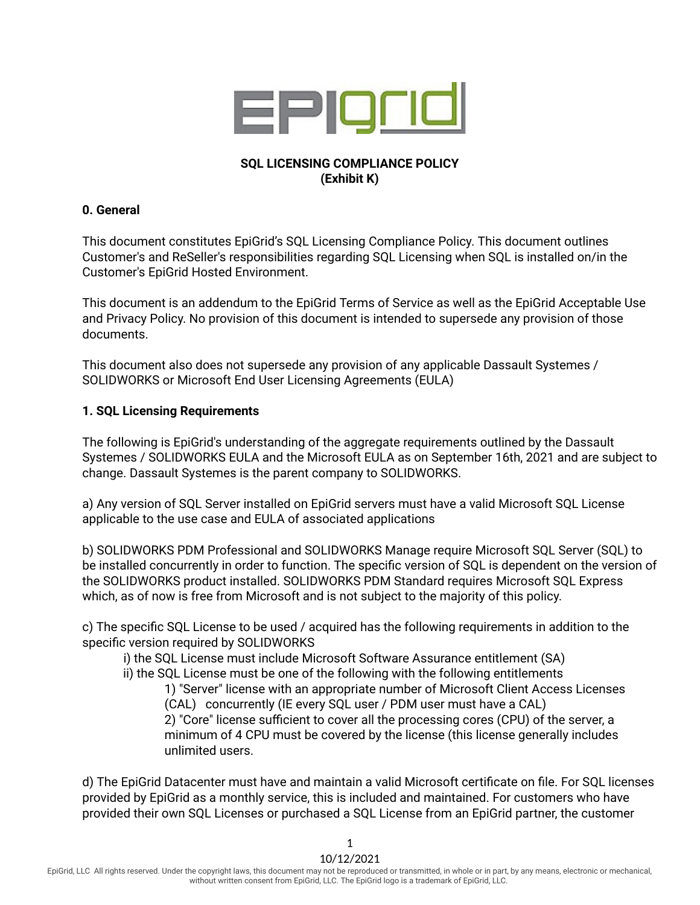

# **SQL LICENSING COMPLIANCE POLICY (Exhibit K)**

#### **0. General**

This document constitutes EpiGrid's SQL Licensing Compliance Policy. This document outlines Customer's and ReSeller's responsibilities regarding SQL Licensing when SQL is installed on/in the Customer's EpiGrid Hosted Environment.

This document is an addendum to the EpiGrid Terms of Service as well as the EpiGrid Acceptable Use and Privacy Policy. No provision of this document is intended to supersede any provision of those documents.

This document also does not supersede any provision of any applicable Dassault Systemes / SOLIDWORKS or Microsoft End User Licensing Agreements (EULA)

### **1. SQL Licensing Requirements**

The following is EpiGrid's understanding of the aggregate requirements outlined by the Dassault Systemes / SOLIDWORKS EULA and the Microsoft EULA as on September 16th, 2021 and are subject to change. Dassault Systemes is the parent company to SOLIDWORKS.

a) Any version of SQL Server installed on EpiGrid servers must have a valid Microsoft SQL License applicable to the use case and EULA of associated applications

b) SOLIDWORKS PDM Professional and SOLIDWORKS Manage require Microsoft SQL Server (SQL) to be installed concurrently in order to function. The specific version of SQL is dependent on the version of the SOLIDWORKS product installed. SOLIDWORKS PDM Standard requires Microsoft SQL Express which, as of now is free from Microsoft and is not subject to the majority of this policy.

c) The specific SQL License to be used / acquired has the following requirements in addition to the specific version required by SOLIDWORKS

i) the SQL License must include Microsoft Software Assurance entitlement (SA)

ii) the SQL License must be one of the following with the following entitlements

1) "Server" license with an appropriate number of Microsoft Client Access Licenses (CAL) concurrently (IE every SQL user / PDM user must have a CAL) 2) "Core" license sufficient to cover all the processing cores (CPU) of the server, a minimum of 4 CPU must be covered by the license (this license generally includes unlimited users.

d) The EpiGrid Datacenter must have and maintain a valid Microsoft certificate on file. For SQL licenses provided by EpiGrid as a monthly service, this is included and maintained. For customers who have provided their own SQL Licenses or purchased a SQL License from an EpiGrid partner, the customer

1